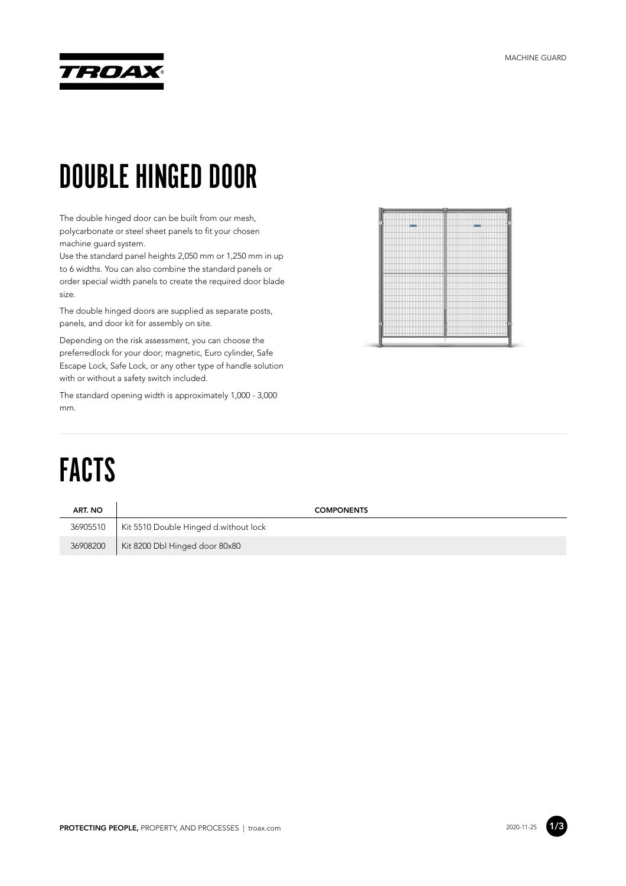

#### DOUBLE HINGED DOOR

The double hinged door can be built from our mesh, polycarbonate or steel sheet panels to fit your chosen machine guard system.

Use the standard panel heights 2,050 mm or 1,250 mm in up to 6 widths. You can also combine the standard panels or order special width panels to create the required door blade size.

The double hinged doors are supplied as separate posts, panels, and door kit for assembly on site.

Depending on the risk assessment, you can choose the preferredlock for your door; magnetic, Euro cylinder, Safe Escape Lock, Safe Lock, or any other type of handle solution with or without a safety switch included.

The standard opening width is approximately 1,000 - 3,000 mm.



# FACTS

| ART. NO  | <b>COMPONENTS</b>                     |
|----------|---------------------------------------|
| 36905510 | Kit 5510 Double Hinged d.without lock |
| 36908200 | Kit 8200 Dbl Hinged door 80x80        |

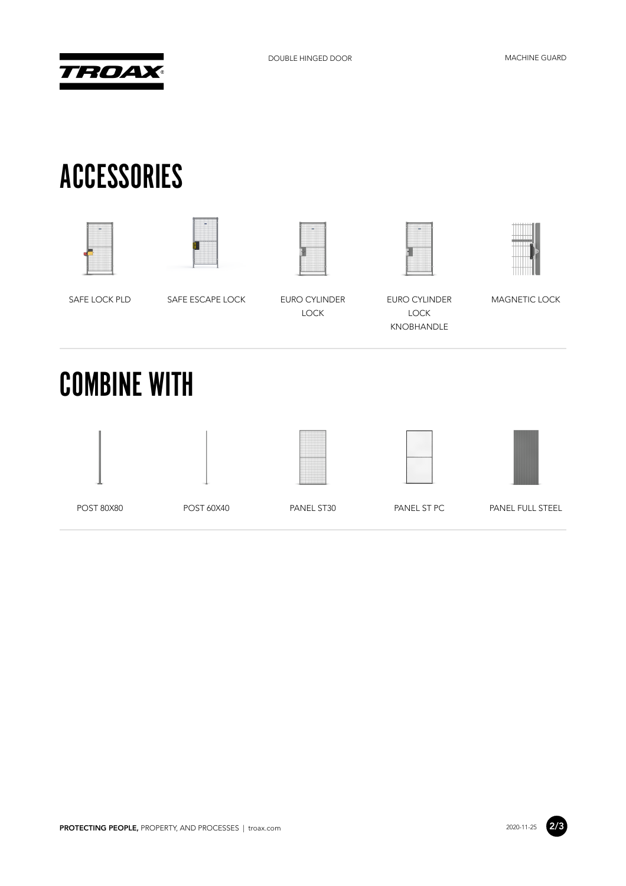

### ACCESSORIES











SAFE LOCK PLD SAFE ESCAPE LOCK EURO CYLINDER LOCK

EURO CYLINDER LOCK KNOBHANDLE

MAGNETIC LOCK

#### COMBINE WITH











POST 80X80 POST 60X40 PANEL ST30 PANEL ST PC PANEL FULL STEEL